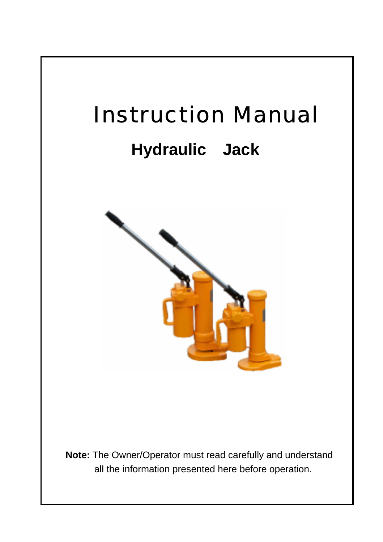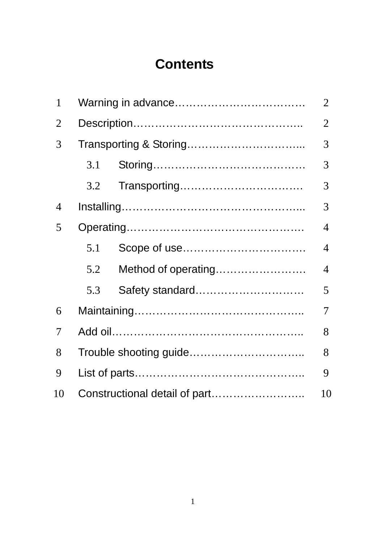# **Contents**

| 1              |                                     |                     |   |  |  |  |
|----------------|-------------------------------------|---------------------|---|--|--|--|
| $\overline{2}$ |                                     |                     |   |  |  |  |
| 3              |                                     |                     |   |  |  |  |
|                | 3.1                                 |                     | 3 |  |  |  |
|                | 3.2                                 |                     | 3 |  |  |  |
| 4              |                                     |                     | 3 |  |  |  |
| 5              |                                     |                     | 4 |  |  |  |
|                | 5.1                                 |                     | 4 |  |  |  |
|                | 5.2                                 | Method of operating | 4 |  |  |  |
|                | 5.3                                 | Safety standard     | 5 |  |  |  |
| 6              |                                     |                     | 7 |  |  |  |
| 7              |                                     |                     |   |  |  |  |
| 8              |                                     |                     |   |  |  |  |
| 9              |                                     |                     |   |  |  |  |
| 10             | Constructional detail of part<br>10 |                     |   |  |  |  |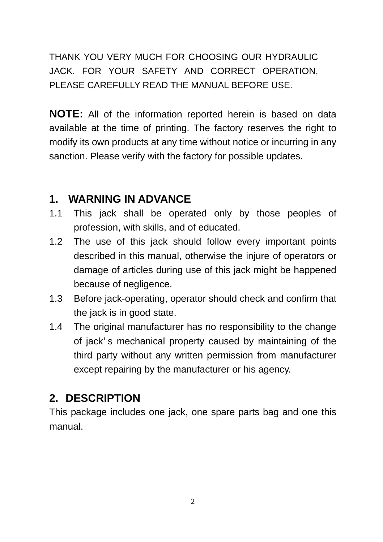THANK YOU VERY MUCH FOR CHOOSING OUR HYDRAULIC JACK. FOR YOUR SAFETY AND CORRECT OPERATION, PLEASE CAREFULLY READ THE MANUAL BEFORE USE.

**NOTE:** All of the information reported herein is based on data available at the time of printing. The factory reserves the right to modify its own products at any time without notice or incurring in any sanction. Please verify with the factory for possible updates.

#### **1. WARNING IN ADVANCE**

- 1.1 This jack shall be operated only by those peoples of profession, with skills, and of educated.
- 1.2 The use of this jack should follow every important points described in this manual, otherwise the injure of operators or damage of articles during use of this jack might be happened because of negligence.
- 1.3 Before jack-operating, operator should check and confirm that the jack is in good state.
- 1.4 The original manufacturer has no responsibility to the change of jack's mechanical property caused by maintaining of the third party without any written permission from manufacturer except repairing by the manufacturer or his agency.

#### **2. DESCRIPTION**

This package includes one jack, one spare parts bag and one this manual.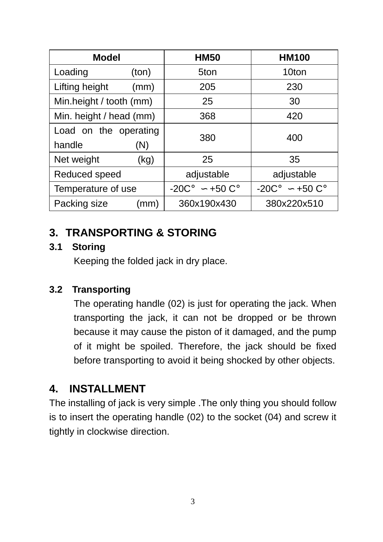| <b>Model</b>                    |             | <b>HM50</b> | <b>HM100</b> |            |              |  |
|---------------------------------|-------------|-------------|--------------|------------|--------------|--|
| Loading<br>(ton)                |             |             | 5ton         | 10ton      |              |  |
| Lifting height                  | (mm)        |             | 205          | 230        |              |  |
| Min.height / tooth (mm)         |             | 25          |              | 30         |              |  |
| Min. height / head (mm)         |             | 368         | 420          |            |              |  |
| Load on the operating<br>handle | 380         |             | 400          |            |              |  |
| (N)<br>Net weight<br>(kg)       |             | 25          |              | 35         |              |  |
| Reduced speed                   |             | adjustable  |              | adjustable |              |  |
| Temperature of use              |             | $-20C$ °    | $+50C^\circ$ | $-20C$ °   | $+50C^\circ$ |  |
| Packing size                    | 360x190x430 |             | 380x220x510  |            |              |  |

### **3. TRANSPORTING & STORING**

#### **3.1 Storing**

Keeping the folded jack in dry place.

#### **3.2 Transporting**

The operating handle (02) is just for operating the jack. When transporting the jack, it can not be dropped or be thrown because it may cause the piston of it damaged, and the pump of it might be spoiled. Therefore, the jack should be fixed before transporting to avoid it being shocked by other objects.

### **4. INSTALLMENT**

The installing of jack is very simple .The only thing you should follow is to insert the operating handle (02) to the socket (04) and screw it tightly in clockwise direction.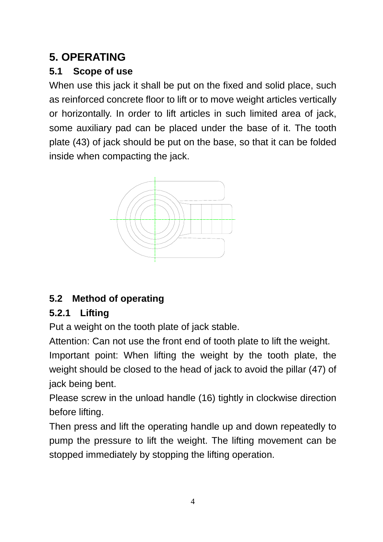# **5. OPERATING**

### **5.1 Scope of use**

When use this jack it shall be put on the fixed and solid place, such as reinforced concrete floor to lift or to move weight articles vertically or horizontally. In order to lift articles in such limited area of jack, some auxiliary pad can be placed under the base of it. The tooth plate (43) of jack should be put on the base, so that it can be folded inside when compacting the jack.



# **5.2 Method of operating**

### **5.2.1 Lifting**

Put a weight on the tooth plate of jack stable.

Attention: Can not use the front end of tooth plate to lift the weight.

Important point: When lifting the weight by the tooth plate, the weight should be closed to the head of jack to avoid the pillar (47) of jack being bent.

Please screw in the unload handle (16) tightly in clockwise direction before lifting.

Then press and lift the operating handle up and down repeatedly to pump the pressure to lift the weight. The lifting movement can be stopped immediately by stopping the lifting operation.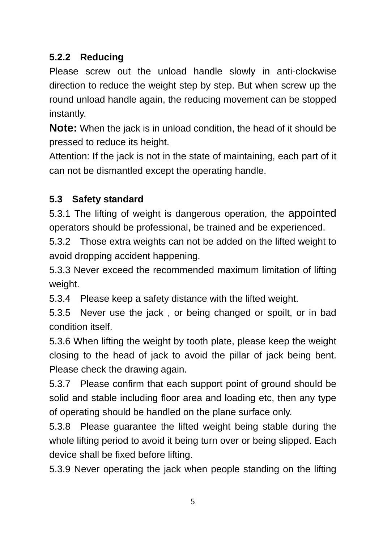### **5.2.2 Reducing**

Please screw out the unload handle slowly in anti-clockwise direction to reduce the weight step by step. But when screw up the round unload handle again, the reducing movement can be stopped instantly.

**Note:** When the jack is in unload condition, the head of it should be pressed to reduce its height.

Attention: If the jack is not in the state of maintaining, each part of it can not be dismantled except the operating handle.

#### **5.3 Safety standard**

5.3.1 The lifting of weight is dangerous operation, the appointed operators should be professional, be trained and be experienced.

5.3.2 Those extra weights can not be added on the lifted weight to avoid dropping accident happening.

5.3.3 Never exceed the recommended maximum limitation of lifting weight.

5.3.4 Please keep a safety distance with the lifted weight.

5.3.5 Never use the jack , or being changed or spoilt, or in bad condition itself.

5.3.6 When lifting the weight by tooth plate, please keep the weight closing to the head of jack to avoid the pillar of jack being bent. Please check the drawing again.

5.3.7 Please confirm that each support point of ground should be solid and stable including floor area and loading etc, then any type of operating should be handled on the plane surface only.

5.3.8 Please guarantee the lifted weight being stable during the whole lifting period to avoid it being turn over or being slipped. Each device shall be fixed before lifting.

5.3.9 Never operating the jack when people standing on the lifting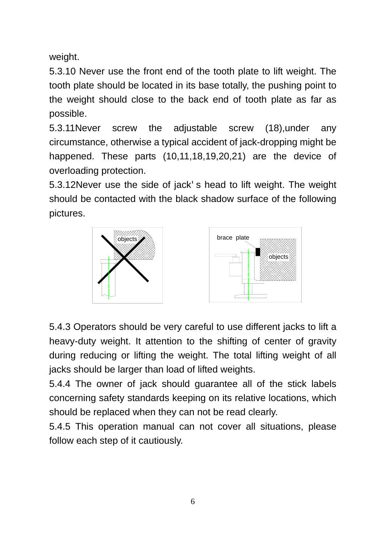weight.

5.3.10 Never use the front end of the tooth plate to lift weight. The tooth plate should be located in its base totally, the pushing point to the weight should close to the back end of tooth plate as far as possible.

5.3.11Never screw the adjustable screw (18),under any circumstance, otherwise a typical accident of jack-dropping might be happened. These parts (10,11,18,19,20,21) are the device of overloading protection.

5.3.12Never use the side of jack's head to lift weight. The weight should be contacted with the black shadow surface of the following pictures.



5.4.3 Operators should be very careful to use different jacks to lift a heavy-duty weight. It attention to the shifting of center of gravity during reducing or lifting the weight. The total lifting weight of all jacks should be larger than load of lifted weights.

5.4.4 The owner of jack should guarantee all of the stick labels concerning safety standards keeping on its relative locations, which should be replaced when they can not be read clearly.

5.4.5 This operation manual can not cover all situations, please follow each step of it cautiously.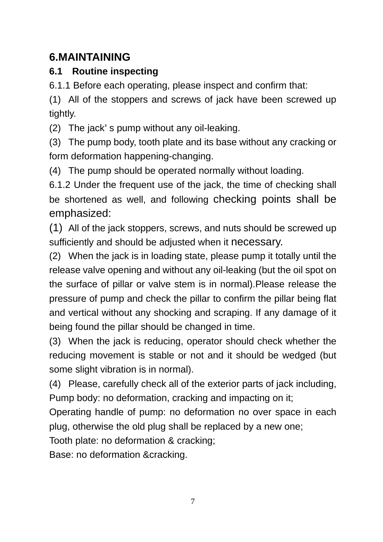# **6.MAINTAINING**

#### **6.1 Routine inspecting**

6.1.1 Before each operating, please inspect and confirm that:

(1) All of the stoppers and screws of jack have been screwed up tightly.

(2) The jack's pump without any oil-leaking.

(3) The pump body, tooth plate and its base without any cracking or form deformation happening-changing.

(4) The pump should be operated normally without loading.

6.1.2 Under the frequent use of the jack, the time of checking shall be shortened as well, and following checking points shall be emphasized:

(1) All of the jack stoppers, screws, and nuts should be screwed up sufficiently and should be adjusted when it necessary.

(2) When the jack is in loading state, please pump it totally until the release valve opening and without any oil-leaking (but the oil spot on the surface of pillar or valve stem is in normal).Please release the pressure of pump and check the pillar to confirm the pillar being flat and vertical without any shocking and scraping. If any damage of it being found the pillar should be changed in time.

(3) When the jack is reducing, operator should check whether the reducing movement is stable or not and it should be wedged (but some slight vibration is in normal).

(4) Please, carefully check all of the exterior parts of jack including, Pump body: no deformation, cracking and impacting on it;

Operating handle of pump: no deformation no over space in each plug, otherwise the old plug shall be replaced by a new one;

Tooth plate: no deformation & cracking;

Base: no deformation &cracking.

7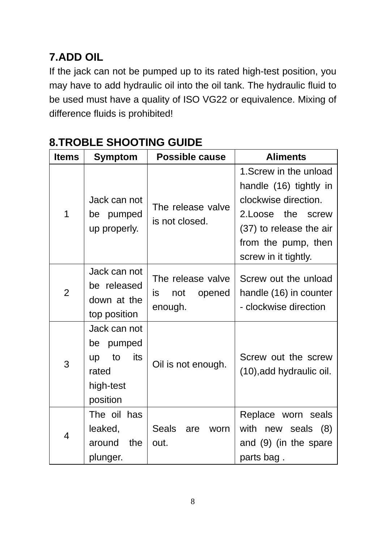# **7.ADD OIL**

If the jack can not be pumped up to its rated high-test position, you may have to add hydraulic oil into the oil tank. The hydraulic fluid to be used must have a quality of ISO VG22 or equivalence. Mixing of difference fluids is prohibited!

| <b>Items</b>   | Symptom                                                                           | <b>Possible cause</b>                               | <b>Aliments</b>                                                                                                                                                          |  |  |
|----------------|-----------------------------------------------------------------------------------|-----------------------------------------------------|--------------------------------------------------------------------------------------------------------------------------------------------------------------------------|--|--|
| 1              | Jack can not<br>pumped<br>be<br>up properly.                                      | The release valve<br>is not closed.                 | 1. Screw in the unload<br>handle (16) tightly in<br>clockwise direction.<br>2. Loose the screw<br>(37) to release the air<br>from the pump, then<br>screw in it tightly. |  |  |
| $\overline{2}$ | Jack can not<br>be released<br>down at the<br>top position                        | The release valve<br>is<br>not<br>opened<br>enough. | Screw out the unload<br>handle (16) in counter<br>- clockwise direction                                                                                                  |  |  |
| 3              | Jack can not<br>pumped<br>be<br>its<br>to<br>up<br>rated<br>high-test<br>position | Oil is not enough.                                  | Screw out the screw<br>(10), add hydraulic oil.                                                                                                                          |  |  |
| 4              | The oil has<br>leaked,<br>the<br>around<br>plunger.                               | Seals<br>are<br>worn<br>out.                        | Replace worn seals<br>with<br>seals<br>(8)<br>new<br>and (9) (in the spare<br>parts bag.                                                                                 |  |  |

# **8.TROBLE SHOOTING GUIDE**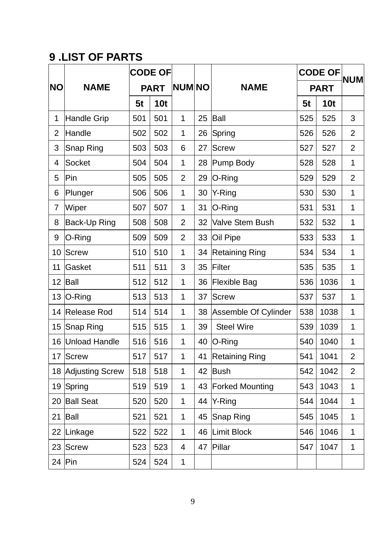# **9 .LIST OF PARTS**

|                |                        | <b>CODE OF</b> |                 |                |    |                        | <b>CODE OF</b> |            | <b>NUM</b>     |
|----------------|------------------------|----------------|-----------------|----------------|----|------------------------|----------------|------------|----------------|
| <b>NO</b>      | <b>NAME</b>            | <b>PART</b>    |                 | <b>NUM NO</b>  |    | <b>NAME</b>            | <b>PART</b>    |            |                |
|                |                        | 5t             | 10 <sub>t</sub> |                |    |                        | 5t             | <b>10t</b> |                |
| 1              | <b>Handle Grip</b>     | 501            | 501             | 1              | 25 | Ball                   | 525            | 525        | 3              |
| $\overline{c}$ | Handle                 | 502            | 502             | 1              | 26 | Spring                 | 526            | 526        | $\overline{c}$ |
| 3              | Snap Ring              | 503            | 503             | 6              | 27 | <b>Screw</b>           | 527            | 527        | $\overline{c}$ |
| 4              | Socket                 | 504            | 504             | 1              | 28 | Pump Body              | 528            | 528        | $\mathbf{1}$   |
| 5              | Pin                    | 505            | 505             | $\overline{2}$ | 29 | O-Ring                 | 529            | 529        | $\overline{c}$ |
| 6              | Plunger                | 506            | 506             | 1              | 30 | Y-Ring                 | 530            | 530        | 1              |
| $\overline{7}$ | Wiper                  | 507            | 507             | 1              | 31 | O-Ring                 | 531            | 531        | $\mathbf{1}$   |
| 8              | Back-Up Ring           | 508            | 508             | $\overline{2}$ | 32 | Valve Stem Bush        | 532            | 532        | $\mathbf{1}$   |
| 9              | O-Ring                 | 509            | 509             | $\overline{2}$ | 33 | Oil Pipe               | 533            | 533        | 1              |
| 10             | <b>Screw</b>           | 510            | 510             | 1              | 34 | <b>Retaining Ring</b>  | 534            | 534        | 1              |
| 11             | Gasket                 | 511            | 511             | 3              | 35 | Filter                 | 535            | 535        | $\mathbf{1}$   |
| 12             | Ball                   | 512            | 512             | 1              | 36 | <b>Flexible Bag</b>    | 536            | 1036       | 1              |
| 13             | O-Ring                 | 513            | 513             | 1              | 37 | <b>Screw</b>           | 537            | 537        | 1              |
| 14             | Release Rod            | 514            | 514             | 1              | 38 | Assemble Of Cylinder   | 538            | 1038       | 1              |
| 15             | Snap Ring              | 515            | 515             | 1              | 39 | <b>Steel Wire</b>      | 539            | 1039       | $\mathbf{1}$   |
| 16             | <b>Unload Handle</b>   | 516            | 516             | 1              | 40 | O-Ring                 | 540            | 1040       | 1              |
| 17             | <b>Screw</b>           | 517            | 517             | 1              | 41 | <b>Retaining Ring</b>  | 541            | 1041       | $\overline{c}$ |
| 18             | <b>Adjusting Screw</b> | 518            | 518             | 1              | 42 | <b>Bush</b>            | 542            | 1042       | $\overline{2}$ |
| 19             | Spring                 | 519            | 519             | 1              | 43 | <b>Forked Mounting</b> | 543            | 1043       | 1              |
| 20             | <b>Ball Seat</b>       | 520            | 520             | 1              | 44 | Y-Ring                 | 544            | 1044       | $\mathbf{1}$   |
| 21             | Ball                   | 521            | 521             | 1              | 45 | Snap Ring              | 545            | 1045       | 1              |
| 22             | Linkage                | 522            | 522             | 1              | 46 | <b>Limit Block</b>     | 546            | 1046       | 1              |
| 23             | <b>Screw</b>           | 523            | 523             | 4              | 47 | Pillar                 | 547            | 1047       | 1              |
| 24             | Pin                    | 524            | 524             | $\mathbf 1$    |    |                        |                |            |                |